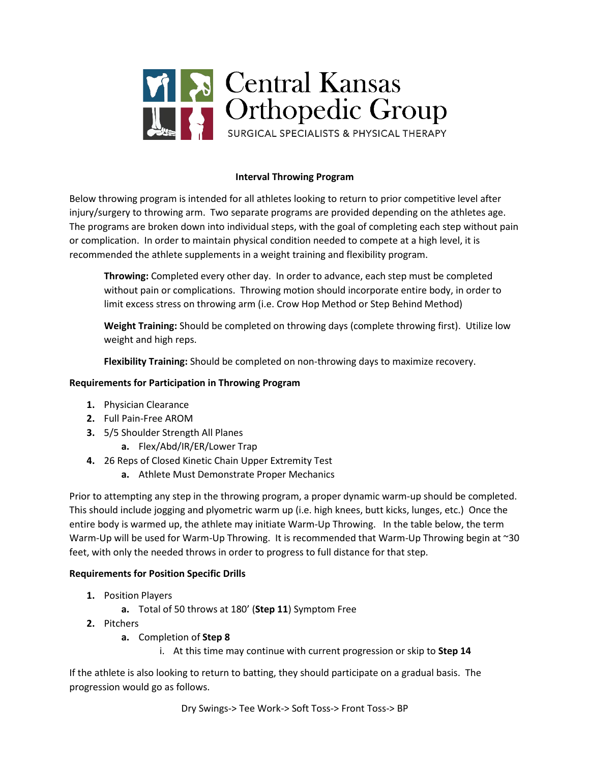

# **Interval Throwing Program**

Below throwing program is intended for all athletes looking to return to prior competitive level after injury/surgery to throwing arm. Two separate programs are provided depending on the athletes age. The programs are broken down into individual steps, with the goal of completing each step without pain or complication. In order to maintain physical condition needed to compete at a high level, it is recommended the athlete supplements in a weight training and flexibility program.

**Throwing:** Completed every other day. In order to advance, each step must be completed without pain or complications. Throwing motion should incorporate entire body, in order to limit excess stress on throwing arm (i.e. Crow Hop Method or Step Behind Method)

**Weight Training:** Should be completed on throwing days (complete throwing first). Utilize low weight and high reps.

**Flexibility Training:** Should be completed on non-throwing days to maximize recovery.

### **Requirements for Participation in Throwing Program**

- **1.** Physician Clearance
- **2.** Full Pain-Free AROM
- **3.** 5/5 Shoulder Strength All Planes
	- **a.** Flex/Abd/IR/ER/Lower Trap
- **4.** 26 Reps of Closed Kinetic Chain Upper Extremity Test
	- **a.** Athlete Must Demonstrate Proper Mechanics

Prior to attempting any step in the throwing program, a proper dynamic warm-up should be completed. This should include jogging and plyometric warm up (i.e. high knees, butt kicks, lunges, etc.) Once the entire body is warmed up, the athlete may initiate Warm-Up Throwing. In the table below, the term Warm-Up will be used for Warm-Up Throwing. It is recommended that Warm-Up Throwing begin at ~30 feet, with only the needed throws in order to progress to full distance for that step.

### **Requirements for Position Specific Drills**

- **1.** Position Players
	- **a.** Total of 50 throws at 180' (**Step 11**) Symptom Free
- **2.** Pitchers
	- **a.** Completion of **Step 8**
		- i. At this time may continue with current progression or skip to **Step 14**

If the athlete is also looking to return to batting, they should participate on a gradual basis. The progression would go as follows.

Dry Swings-> Tee Work-> Soft Toss-> Front Toss-> BP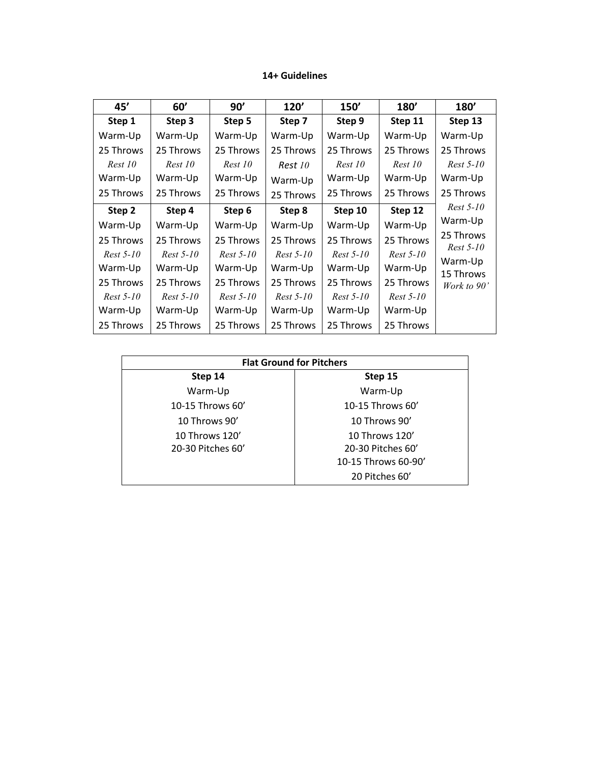# **14+ Guidelines**

| 45'         | 60'         | 90'         | 120'        | 150'        | <b>180'</b> | <b>180'</b>          |
|-------------|-------------|-------------|-------------|-------------|-------------|----------------------|
| Step 1      | Step 3      | Step 5      | Step 7      | Step 9      | Step 11     | Step 13              |
| Warm-Up     | Warm-Up     | Warm-Up     | Warm-Up     | Warm-Up     | Warm-Up     | Warm-Up              |
| 25 Throws   | 25 Throws   | 25 Throws   | 25 Throws   | 25 Throws   | 25 Throws   | 25 Throws            |
| Rest 10     | Rest 10     | Rest 10     | Rest 10     | Rest 10     | Rest 10     | $Rest 5-10$          |
| Warm-Up     | Warm-Up     | Warm-Up     | Warm-Up     | Warm-Up     | Warm-Up     | Warm-Up              |
| 25 Throws   | 25 Throws   | 25 Throws   | 25 Throws   | 25 Throws   | 25 Throws   | 25 Throws            |
| Step 2      | Step 4      | Step 6      | Step 8      | Step 10     | Step 12     | $Rest 5-10$          |
| Warm-Up     | Warm-Up     | Warm-Up     | Warm-Up     | Warm-Up     | Warm-Up     | Warm-Up              |
| 25 Throws   | 25 Throws   | 25 Throws   | 25 Throws   | 25 Throws   | 25 Throws   | 25 Throws            |
| $Rest 5-10$ | $Rest 5-10$ | $Rest 5-10$ | $Rest 5-10$ | $Rest 5-10$ | $Rest 5-10$ | $Rest 5-10$          |
| Warm-Up     | Warm-Up     | Warm-Up     | Warm-Up     | Warm-Up     | Warm-Up     | Warm-Up<br>15 Throws |
| 25 Throws   | 25 Throws   | 25 Throws   | 25 Throws   | 25 Throws   | 25 Throws   | Work to 90'          |
| $Rest 5-10$ | $Rest 5-10$ | $Rest 5-10$ | $Rest 5-10$ | $Rest 5-10$ | $Rest 5-10$ |                      |
| Warm-Up     | Warm-Up     | Warm-Up     | Warm-Up     | Warm-Up     | Warm-Up     |                      |
| 25 Throws   | 25 Throws   | 25 Throws   | 25 Throws   | 25 Throws   | 25 Throws   |                      |

| <b>Flat Ground for Pitchers</b> |                     |  |  |
|---------------------------------|---------------------|--|--|
| Step 14                         | Step 15             |  |  |
| Warm-Up                         | Warm-Up             |  |  |
| 10-15 Throws 60'                | 10-15 Throws $60'$  |  |  |
| 10 Throws $90'$                 | 10 Throws 90'       |  |  |
| 10 Throws 120'                  | 10 Throws 120'      |  |  |
| 20-30 Pitches 60'               | 20-30 Pitches 60'   |  |  |
|                                 | 10-15 Throws 60-90' |  |  |
|                                 | 20 Pitches 60'      |  |  |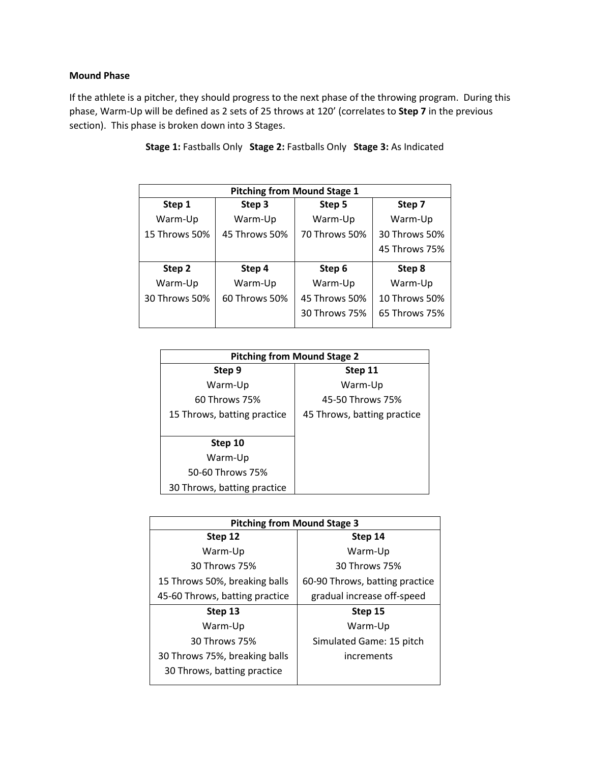# **Mound Phase**

If the athlete is a pitcher, they should progress to the next phase of the throwing program. During this phase, Warm-Up will be defined as 2 sets of 25 throws at 120' (correlates to **Step 7** in the previous section). This phase is broken down into 3 Stages.

| <b>Pitching from Mound Stage 1</b> |               |               |               |  |
|------------------------------------|---------------|---------------|---------------|--|
| Step 1                             | Step 3        | Step 5        | Step 7        |  |
| Warm-Up                            | Warm-Up       | Warm-Up       | Warm-Up       |  |
| 15 Throws 50%                      | 45 Throws 50% | 70 Throws 50% | 30 Throws 50% |  |
|                                    |               |               | 45 Throws 75% |  |
| Step 2                             | Step 4        | Step 6        | Step 8        |  |
| Warm-Up                            | Warm-Up       | Warm-Up       | Warm-Up       |  |
| 30 Throws 50%                      | 60 Throws 50% | 45 Throws 50% | 10 Throws 50% |  |
|                                    |               | 30 Throws 75% | 65 Throws 75% |  |

**Stage 1:** Fastballs Only **Stage 2:** Fastballs Only **Stage 3:** As Indicated

| <b>Pitching from Mound Stage 2</b> |                             |  |  |
|------------------------------------|-----------------------------|--|--|
| Step 9                             | Step 11                     |  |  |
| Warm-Up                            | Warm-Up                     |  |  |
| 60 Throws 75%                      | 45-50 Throws 75%            |  |  |
| 15 Throws, batting practice        | 45 Throws, batting practice |  |  |
|                                    |                             |  |  |
| Step 10                            |                             |  |  |
| Warm-Up                            |                             |  |  |
| 50-60 Throws 75%                   |                             |  |  |
| 30 Throws, batting practice        |                             |  |  |

| <b>Pitching from Mound Stage 3</b> |                                |  |  |
|------------------------------------|--------------------------------|--|--|
| Step 12                            | Step 14                        |  |  |
| Warm-Up                            | Warm-Up                        |  |  |
| 30 Throws 75%                      | 30 Throws 75%                  |  |  |
| 15 Throws 50%, breaking balls      | 60-90 Throws, batting practice |  |  |
| 45-60 Throws, batting practice     | gradual increase off-speed     |  |  |
| Step 13                            | Step 15                        |  |  |
| Warm-Up                            | Warm-Up                        |  |  |
| 30 Throws 75%                      | Simulated Game: 15 pitch       |  |  |
| 30 Throws 75%, breaking balls      | increments                     |  |  |
| 30 Throws, batting practice        |                                |  |  |